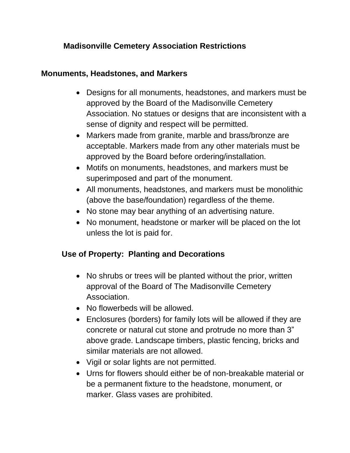## **Madisonville Cemetery Association Restrictions**

#### **Monuments, Headstones, and Markers**

- Designs for all monuments, headstones, and markers must be approved by the Board of the Madisonville Cemetery Association. No statues or designs that are inconsistent with a sense of dignity and respect will be permitted.
- Markers made from granite, marble and brass/bronze are acceptable. Markers made from any other materials must be approved by the Board before ordering/installation.
- Motifs on monuments, headstones, and markers must be superimposed and part of the monument.
- All monuments, headstones, and markers must be monolithic (above the base/foundation) regardless of the theme.
- No stone may bear anything of an advertising nature.
- No monument, headstone or marker will be placed on the lot unless the lot is paid for.

# **Use of Property: Planting and Decorations**

- No shrubs or trees will be planted without the prior, written approval of the Board of The Madisonville Cemetery Association.
- No flowerbeds will be allowed.
- Enclosures (borders) for family lots will be allowed if they are concrete or natural cut stone and protrude no more than 3" above grade. Landscape timbers, plastic fencing, bricks and similar materials are not allowed.
- Vigil or solar lights are not permitted.
- Urns for flowers should either be of non-breakable material or be a permanent fixture to the headstone, monument, or marker. Glass vases are prohibited.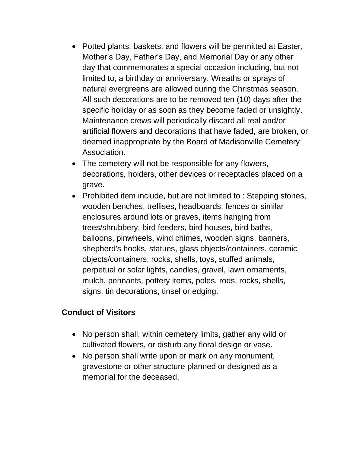- Potted plants, baskets, and flowers will be permitted at Easter, Mother's Day, Father's Day, and Memorial Day or any other day that commemorates a special occasion including, but not limited to, a birthday or anniversary. Wreaths or sprays of natural evergreens are allowed during the Christmas season. All such decorations are to be removed ten (10) days after the specific holiday or as soon as they become faded or unsightly. Maintenance crews will periodically discard all real and/or artificial flowers and decorations that have faded, are broken, or deemed inappropriate by the Board of Madisonville Cemetery Association.
- The cemetery will not be responsible for any flowers, decorations, holders, other devices or receptacles placed on a grave.
- Prohibited item include, but are not limited to : Stepping stones, wooden benches, trellises, headboards, fences or similar enclosures around lots or graves, items hanging from trees/shrubbery, bird feeders, bird houses, bird baths, balloons, pinwheels, wind chimes, wooden signs, banners, shepherd's hooks, statues, glass objects/containers, ceramic objects/containers, rocks, shells, toys, stuffed animals, perpetual or solar lights, candles, gravel, lawn ornaments, mulch, pennants, pottery items, poles, rods, rocks, shells, signs, tin decorations, tinsel or edging.

### **Conduct of Visitors**

- No person shall, within cemetery limits, gather any wild or cultivated flowers, or disturb any floral design or vase.
- No person shall write upon or mark on any monument, gravestone or other structure planned or designed as a memorial for the deceased.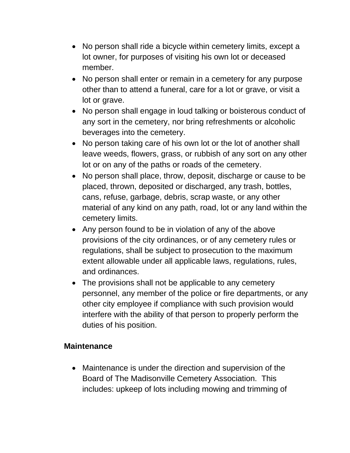- No person shall ride a bicycle within cemetery limits, except a lot owner, for purposes of visiting his own lot or deceased member.
- No person shall enter or remain in a cemetery for any purpose other than to attend a funeral, care for a lot or grave, or visit a lot or grave.
- No person shall engage in loud talking or boisterous conduct of any sort in the cemetery, nor bring refreshments or alcoholic beverages into the cemetery.
- No person taking care of his own lot or the lot of another shall leave weeds, flowers, grass, or rubbish of any sort on any other lot or on any of the paths or roads of the cemetery.
- No person shall place, throw, deposit, discharge or cause to be placed, thrown, deposited or discharged, any trash, bottles, cans, refuse, garbage, debris, scrap waste, or any other material of any kind on any path, road, lot or any land within the cemetery limits.
- Any person found to be in violation of any of the above provisions of the city ordinances, or of any cemetery rules or regulations, shall be subject to prosecution to the maximum extent allowable under all applicable laws, regulations, rules, and ordinances.
- The provisions shall not be applicable to any cemetery personnel, any member of the police or fire departments, or any other city employee if compliance with such provision would interfere with the ability of that person to properly perform the duties of his position.

### **Maintenance**

• Maintenance is under the direction and supervision of the Board of The Madisonville Cemetery Association. This includes: upkeep of lots including mowing and trimming of